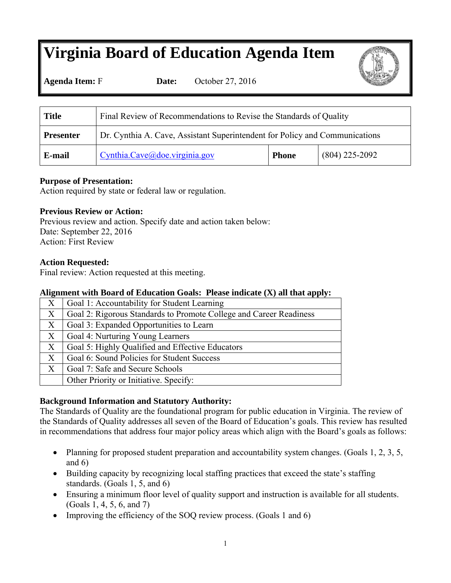### **Virginia Board of Education Agenda Item**

**Agenda Item:** F **Date:** October 27, 2016

| <b>Title</b>     | Final Review of Recommendations to Revise the Standards of Quality          |              |                  |
|------------------|-----------------------------------------------------------------------------|--------------|------------------|
| <b>Presenter</b> | Dr. Cynthia A. Cave, Assistant Superintendent for Policy and Communications |              |                  |
| E-mail           | Cynthia.Cave@doe.virginia.gov                                               | <b>Phone</b> | $(804)$ 225-2092 |

#### **Purpose of Presentation:**

Action required by state or federal law or regulation.

#### **Previous Review or Action:**

Previous review and action. Specify date and action taken below: Date: September 22, 2016 Action: First Review

#### **Action Requested:**

Final review: Action requested at this meeting.

#### **Alignment with Board of Education Goals: Please indicate (X) all that apply:**

| X                 | Goal 1: Accountability for Student Learning                        |
|-------------------|--------------------------------------------------------------------|
| X                 | Goal 2: Rigorous Standards to Promote College and Career Readiness |
| X                 | Goal 3: Expanded Opportunities to Learn                            |
| $X_{\mathcal{E}}$ | Goal 4: Nurturing Young Learners                                   |
| $X_{\mathcal{E}}$ | Goal 5: Highly Qualified and Effective Educators                   |
| X                 | Goal 6: Sound Policies for Student Success                         |
| $X_{\mathcal{I}}$ | Goal 7: Safe and Secure Schools                                    |
|                   | Other Priority or Initiative. Specify:                             |

#### **Background Information and Statutory Authority:**

The Standards of Quality are the foundational program for public education in Virginia. The review of the Standards of Quality addresses all seven of the Board of Education's goals. This review has resulted in recommendations that address four major policy areas which align with the Board's goals as follows:

- Planning for proposed student preparation and accountability system changes. (Goals 1, 2, 3, 5, and 6)
- Building capacity by recognizing local staffing practices that exceed the state's staffing standards. (Goals 1, 5, and 6)
- Ensuring a minimum floor level of quality support and instruction is available for all students. (Goals 1, 4, 5, 6, and 7)
- Improving the efficiency of the SOQ review process. (Goals 1 and 6)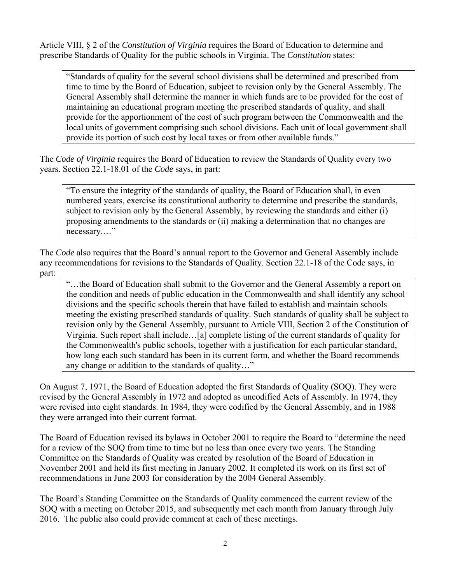Article VIII, § 2 of the *Constitution of Virginia* requires the Board of Education to determine and prescribe Standards of Quality for the public schools in Virginia. The *Constitution* states:

"Standards of quality for the several school divisions shall be determined and prescribed from time to time by the Board of Education, subject to revision only by the General Assembly. The General Assembly shall determine the manner in which funds are to be provided for the cost of maintaining an educational program meeting the prescribed standards of quality, and shall provide for the apportionment of the cost of such program between the Commonwealth and the local units of government comprising such school divisions. Each unit of local government shall provide its portion of such cost by local taxes or from other available funds."

The *Code of Virginia* requires the Board of Education to review the Standards of Quality every two years. Section 22.1-18.01 of the *Code* says, in part:

"To ensure the integrity of the standards of quality, the Board of Education shall, in even numbered years, exercise its constitutional authority to determine and prescribe the standards, subject to revision only by the General Assembly, by reviewing the standards and either (i) proposing amendments to the standards or (ii) making a determination that no changes are necessary.…"

The *Code* also requires that the Board's annual report to the Governor and General Assembly include any recommendations for revisions to the Standards of Quality. Section 22.1-18 of the Code says, in part:

"…the Board of Education shall submit to the Governor and the General Assembly a report on the condition and needs of public education in the Commonwealth and shall identify any school divisions and the specific schools therein that have failed to establish and maintain schools meeting the existing prescribed standards of quality. Such standards of quality shall be subject to revision only by the General Assembly, pursuant to Article VIII, Section 2 of the Constitution of Virginia. Such report shall include…[a] complete listing of the current standards of quality for the Commonwealth's public schools, together with a justification for each particular standard, how long each such standard has been in its current form, and whether the Board recommends any change or addition to the standards of quality…"

On August 7, 1971, the Board of Education adopted the first Standards of Quality (SOQ). They were revised by the General Assembly in 1972 and adopted as uncodified Acts of Assembly. In 1974, they were revised into eight standards. In 1984, they were codified by the General Assembly, and in 1988 they were arranged into their current format.

The Board of Education revised its bylaws in October 2001 to require the Board to "determine the need for a review of the SOQ from time to time but no less than once every two years. The Standing Committee on the Standards of Quality was created by resolution of the Board of Education in November 2001 and held its first meeting in January 2002. It completed its work on its first set of recommendations in June 2003 for consideration by the 2004 General Assembly.

The Board's Standing Committee on the Standards of Quality commenced the current review of the SOQ with a meeting on October 2015, and subsequently met each month from January through July 2016. The public also could provide comment at each of these meetings.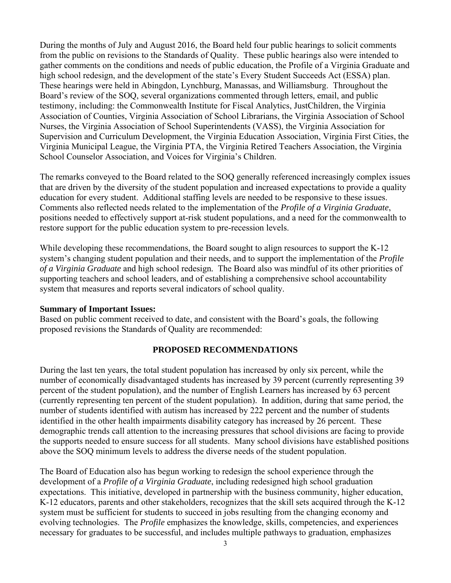During the months of July and August 2016, the Board held four public hearings to solicit comments from the public on revisions to the Standards of Quality. These public hearings also were intended to gather comments on the conditions and needs of public education, the Profile of a Virginia Graduate and high school redesign, and the development of the state's Every Student Succeeds Act (ESSA) plan. These hearings were held in Abingdon, Lynchburg, Manassas, and Williamsburg. Throughout the Board's review of the SOQ, several organizations commented through letters, email, and public testimony, including: the Commonwealth Institute for Fiscal Analytics, JustChildren, the Virginia Association of Counties, Virginia Association of School Librarians, the Virginia Association of School Nurses, the Virginia Association of School Superintendents (VASS), the Virginia Association for Supervision and Curriculum Development, the Virginia Education Association, Virginia First Cities, the Virginia Municipal League, the Virginia PTA, the Virginia Retired Teachers Association, the Virginia School Counselor Association, and Voices for Virginia's Children.

The remarks conveyed to the Board related to the SOQ generally referenced increasingly complex issues that are driven by the diversity of the student population and increased expectations to provide a quality education for every student. Additional staffing levels are needed to be responsive to these issues. Comments also reflected needs related to the implementation of the *Profile of a Virginia Graduate*, positions needed to effectively support at-risk student populations, and a need for the commonwealth to restore support for the public education system to pre-recession levels.

While developing these recommendations, the Board sought to align resources to support the K-12 system's changing student population and their needs, and to support the implementation of the *Profile of a Virginia Graduate* and high school redesign*.* The Board also was mindful of its other priorities of supporting teachers and school leaders, and of establishing a comprehensive school accountability system that measures and reports several indicators of school quality.

#### **Summary of Important Issues:**

Based on public comment received to date, and consistent with the Board's goals, the following proposed revisions the Standards of Quality are recommended:

#### **PROPOSED RECOMMENDATIONS**

During the last ten years, the total student population has increased by only six percent, while the number of economically disadvantaged students has increased by 39 percent (currently representing 39 percent of the student population), and the number of English Learners has increased by 63 percent (currently representing ten percent of the student population). In addition, during that same period, the number of students identified with autism has increased by 222 percent and the number of students identified in the other health impairments disability category has increased by 26 percent. These demographic trends call attention to the increasing pressures that school divisions are facing to provide the supports needed to ensure success for all students. Many school divisions have established positions above the SOQ minimum levels to address the diverse needs of the student population.

The Board of Education also has begun working to redesign the school experience through the development of a *Profile of a Virginia Graduate*, including redesigned high school graduation expectations. This initiative, developed in partnership with the business community, higher education, K-12 educators, parents and other stakeholders, recognizes that the skill sets acquired through the K-12 system must be sufficient for students to succeed in jobs resulting from the changing economy and evolving technologies. The *Profile* emphasizes the knowledge, skills, competencies, and experiences necessary for graduates to be successful, and includes multiple pathways to graduation, emphasizes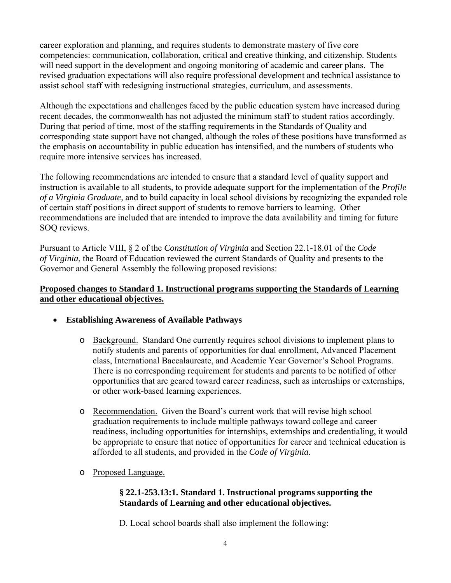career exploration and planning, and requires students to demonstrate mastery of five core competencies: communication, collaboration, critical and creative thinking, and citizenship. Students will need support in the development and ongoing monitoring of academic and career plans. The revised graduation expectations will also require professional development and technical assistance to assist school staff with redesigning instructional strategies, curriculum, and assessments.

Although the expectations and challenges faced by the public education system have increased during recent decades, the commonwealth has not adjusted the minimum staff to student ratios accordingly. During that period of time, most of the staffing requirements in the Standards of Quality and corresponding state support have not changed, although the roles of these positions have transformed as the emphasis on accountability in public education has intensified, and the numbers of students who require more intensive services has increased.

The following recommendations are intended to ensure that a standard level of quality support and instruction is available to all students, to provide adequate support for the implementation of the *Profile of a Virginia Graduate,* and to build capacity in local school divisions by recognizing the expanded role of certain staff positions in direct support of students to remove barriers to learning. Other recommendations are included that are intended to improve the data availability and timing for future SOQ reviews.

Pursuant to Article VIII, § 2 of the *Constitution of Virginia* and Section 22.1-18.01 of the *Code of Virginia*, the Board of Education reviewed the current Standards of Quality and presents to the Governor and General Assembly the following proposed revisions:

#### **Proposed changes to Standard 1. Instructional programs supporting the Standards of Learning and other educational objectives.**

- **Establishing Awareness of Available Pathways** 
	- o Background.Standard One currently requires school divisions to implement plans to notify students and parents of opportunities for dual enrollment, Advanced Placement class, International Baccalaureate, and Academic Year Governor's School Programs. There is no corresponding requirement for students and parents to be notified of other opportunities that are geared toward career readiness, such as internships or externships, or other work-based learning experiences.
	- o Recommendation.Given the Board's current work that will revise high school graduation requirements to include multiple pathways toward college and career readiness, including opportunities for internships, externships and credentialing, it would be appropriate to ensure that notice of opportunities for career and technical education is afforded to all students, and provided in the *Code of Virginia*.
	- o Proposed Language.

#### **§ 22.1-253.13:1. Standard 1. Instructional programs supporting the Standards of Learning and other educational objectives.**

D. Local school boards shall also implement the following: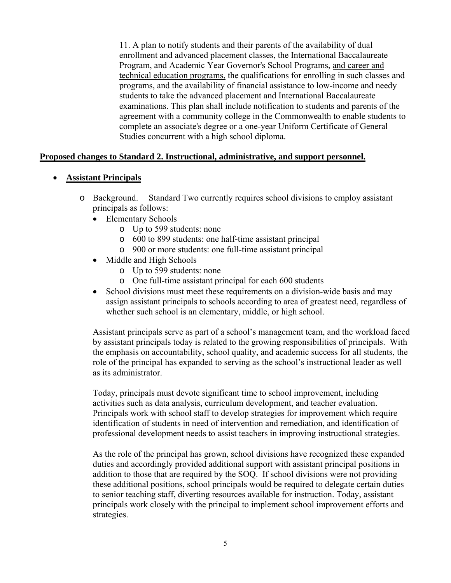11. A plan to notify students and their parents of the availability of dual enrollment and advanced placement classes, the International Baccalaureate Program, and Academic Year Governor's School Programs, and career and technical education programs, the qualifications for enrolling in such classes and programs, and the availability of financial assistance to low-income and needy students to take the advanced placement and International Baccalaureate examinations. This plan shall include notification to students and parents of the agreement with a community college in the Commonwealth to enable students to complete an associate's degree or a one-year Uniform Certificate of General Studies concurrent with a high school diploma.

#### **Proposed changes to Standard 2. Instructional, administrative, and support personnel.**

#### **Assistant Principals**

- o Background. Standard Two currently requires school divisions to employ assistant principals as follows:
	- Elementary Schools
		- o Up to 599 students: none
		- o 600 to 899 students: one half-time assistant principal
		- o 900 or more students: one full-time assistant principal
	- Middle and High Schools
		- o Up to 599 students: none
		- o One full-time assistant principal for each 600 students
	- School divisions must meet these requirements on a division-wide basis and may assign assistant principals to schools according to area of greatest need, regardless of whether such school is an elementary, middle, or high school.

Assistant principals serve as part of a school's management team, and the workload faced by assistant principals today is related to the growing responsibilities of principals. With the emphasis on accountability, school quality, and academic success for all students, the role of the principal has expanded to serving as the school's instructional leader as well as its administrator.

Today, principals must devote significant time to school improvement, including activities such as data analysis, curriculum development, and teacher evaluation. Principals work with school staff to develop strategies for improvement which require identification of students in need of intervention and remediation, and identification of professional development needs to assist teachers in improving instructional strategies.

As the role of the principal has grown, school divisions have recognized these expanded duties and accordingly provided additional support with assistant principal positions in addition to those that are required by the SOQ. If school divisions were not providing these additional positions, school principals would be required to delegate certain duties to senior teaching staff, diverting resources available for instruction. Today, assistant principals work closely with the principal to implement school improvement efforts and strategies.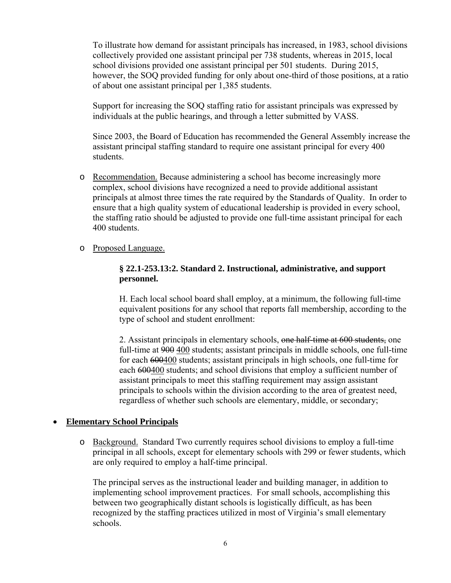To illustrate how demand for assistant principals has increased, in 1983, school divisions collectively provided one assistant principal per 738 students, whereas in 2015, local school divisions provided one assistant principal per 501 students. During 2015, however, the SOQ provided funding for only about one-third of those positions, at a ratio of about one assistant principal per 1,385 students.

Support for increasing the SOQ staffing ratio for assistant principals was expressed by individuals at the public hearings, and through a letter submitted by VASS.

Since 2003, the Board of Education has recommended the General Assembly increase the assistant principal staffing standard to require one assistant principal for every 400 students.

- o Recommendation. Because administering a school has become increasingly more complex, school divisions have recognized a need to provide additional assistant principals at almost three times the rate required by the Standards of Quality. In order to ensure that a high quality system of educational leadership is provided in every school, the staffing ratio should be adjusted to provide one full-time assistant principal for each 400 students.
- o Proposed Language.

#### **§ 22.1-253.13:2. Standard 2. Instructional, administrative, and support personnel.**

H. Each local school board shall employ, at a minimum, the following full-time equivalent positions for any school that reports fall membership, according to the type of school and student enrollment:

2. Assistant principals in elementary schools, one half-time at 600 students, one full-time at 900 400 students; assistant principals in middle schools, one full-time for each 600400 students; assistant principals in high schools, one full-time for each 600400 students; and school divisions that employ a sufficient number of assistant principals to meet this staffing requirement may assign assistant principals to schools within the division according to the area of greatest need, regardless of whether such schools are elementary, middle, or secondary;

#### **Elementary School Principals**

o Background. Standard Two currently requires school divisions to employ a full-time principal in all schools, except for elementary schools with 299 or fewer students, which are only required to employ a half-time principal.

The principal serves as the instructional leader and building manager, in addition to implementing school improvement practices. For small schools, accomplishing this between two geographically distant schools is logistically difficult, as has been recognized by the staffing practices utilized in most of Virginia's small elementary schools.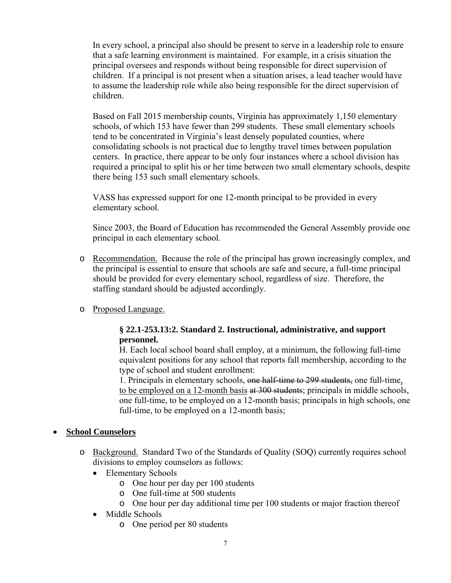In every school, a principal also should be present to serve in a leadership role to ensure that a safe learning environment is maintained. For example, in a crisis situation the principal oversees and responds without being responsible for direct supervision of children. If a principal is not present when a situation arises, a lead teacher would have to assume the leadership role while also being responsible for the direct supervision of children.

Based on Fall 2015 membership counts, Virginia has approximately 1,150 elementary schools, of which 153 have fewer than 299 students. These small elementary schools tend to be concentrated in Virginia's least densely populated counties, where consolidating schools is not practical due to lengthy travel times between population centers. In practice, there appear to be only four instances where a school division has required a principal to split his or her time between two small elementary schools, despite there being 153 such small elementary schools.

VASS has expressed support for one 12-month principal to be provided in every elementary school.

Since 2003, the Board of Education has recommended the General Assembly provide one principal in each elementary school.

- o Recommendation. Because the role of the principal has grown increasingly complex, and the principal is essential to ensure that schools are safe and secure, a full-time principal should be provided for every elementary school, regardless of size. Therefore, the staffing standard should be adjusted accordingly.
- o Proposed Language.

#### **§ 22.1-253.13:2. Standard 2. Instructional, administrative, and support personnel.**

H. Each local school board shall employ, at a minimum, the following full-time equivalent positions for any school that reports fall membership, according to the type of school and student enrollment:

1. Principals in elementary schools, one half-time to 299 students, one full-time, to be employed on a 12-month basis at 300 students; principals in middle schools, one full-time, to be employed on a 12-month basis; principals in high schools, one full-time, to be employed on a 12-month basis;

#### **School Counselors**

- o Background. Standard Two of the Standards of Quality (SOQ) currently requires school divisions to employ counselors as follows:
	- Elementary Schools
		- o One hour per day per 100 students
		- o One full-time at 500 students
		- o One hour per day additional time per 100 students or major fraction thereof
	- Middle Schools
		- o One period per 80 students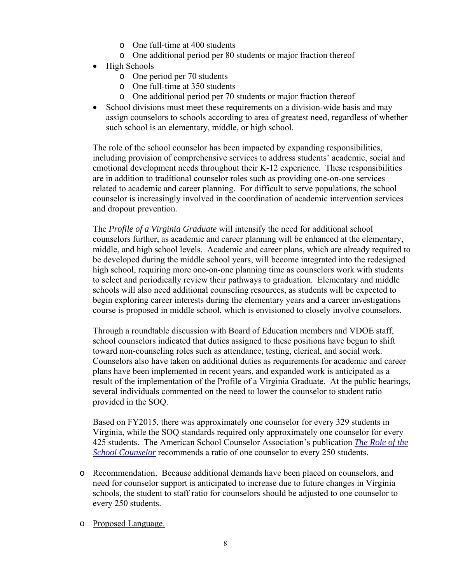- o One full-time at 400 students
- o One additional period per 80 students or major fraction thereof
- High Schools
	- o One period per 70 students
	- o One full-time at 350 students
	- o One additional period per 70 students or major fraction thereof
- School divisions must meet these requirements on a division-wide basis and may assign counselors to schools according to area of greatest need, regardless of whether such school is an elementary, middle, or high school.

The role of the school counselor has been impacted by expanding responsibilities, including provision of comprehensive services to address students' academic, social and emotional development needs throughout their K-12 experience. These responsibilities are in addition to traditional counselor roles such as providing one-on-one services related to academic and career planning. For difficult to serve populations, the school counselor is increasingly involved in the coordination of academic intervention services and dropout prevention.

The *Profile of a Virginia Graduate* will intensify the need for additional school counselors further, as academic and career planning will be enhanced at the elementary, middle, and high school levels. Academic and career plans, which are already required to be developed during the middle school years, will become integrated into the redesigned high school, requiring more one-on-one planning time as counselors work with students to select and periodically review their pathways to graduation. Elementary and middle schools will also need additional counseling resources, as students will be expected to begin exploring career interests during the elementary years and a career investigations course is proposed in middle school, which is envisioned to closely involve counselors.

Through a roundtable discussion with Board of Education members and VDOE staff, school counselors indicated that duties assigned to these positions have begun to shift toward non-counseling roles such as attendance, testing, clerical, and social work. Counselors also have taken on additional duties as requirements for academic and career plans have been implemented in recent years, and expanded work is anticipated as a result of the implementation of the Profile of a Virginia Graduate. At the public hearings, several individuals commented on the need to lower the counselor to student ratio provided in the SOQ.

Based on FY2015, there was approximately one counselor for every 329 students in Virginia, while the SOQ standards required only approximately one counselor for every 425 students. The American School Counselor Association's publication *The Role of the School Counselor* recommends a ratio of one counselor to every 250 students.

- o Recommendation. Because additional demands have been placed on counselors, and need for counselor support is anticipated to increase due to future changes in Virginia schools, the student to staff ratio for counselors should be adjusted to one counselor to every 250 students.
- o Proposed Language.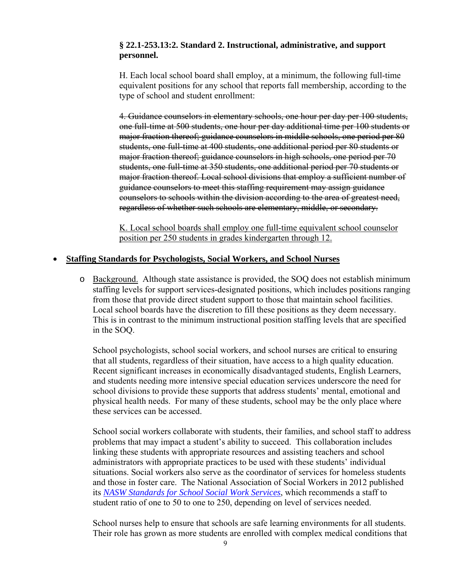#### **§ 22.1-253.13:2. Standard 2. Instructional, administrative, and support personnel.**

H. Each local school board shall employ, at a minimum, the following full-time equivalent positions for any school that reports fall membership, according to the type of school and student enrollment:

4. Guidance counselors in elementary schools, one hour per day per 100 students, one full-time at 500 students, one hour per day additional time per 100 students or major fraction thereof; guidance counselors in middle schools, one period per 80 students, one full-time at 400 students, one additional period per 80 students or major fraction thereof; guidance counselors in high schools, one period per 70 students, one full-time at 350 students, one additional period per 70 students or major fraction thereof. Local school divisions that employ a sufficient number of guidance counselors to meet this staffing requirement may assign guidance counselors to schools within the division according to the area of greatest need, regardless of whether such schools are elementary, middle, or secondary.

K. Local school boards shall employ one full-time equivalent school counselor position per 250 students in grades kindergarten through 12.

#### **Staffing Standards for Psychologists, Social Workers, and School Nurses**

o Background. Although state assistance is provided, the SOQ does not establish minimum staffing levels for support services-designated positions, which includes positions ranging from those that provide direct student support to those that maintain school facilities. Local school boards have the discretion to fill these positions as they deem necessary. This is in contrast to the minimum instructional position staffing levels that are specified in the SOQ.

School psychologists, school social workers, and school nurses are critical to ensuring that all students, regardless of their situation, have access to a high quality education. Recent significant increases in economically disadvantaged students, English Learners, and students needing more intensive special education services underscore the need for school divisions to provide these supports that address students' mental, emotional and physical health needs. For many of these students, school may be the only place where these services can be accessed.

School social workers collaborate with students, their families, and school staff to address problems that may impact a student's ability to succeed. This collaboration includes linking these students with appropriate resources and assisting teachers and school administrators with appropriate practices to be used with these students' individual situations. Social workers also serve as the coordinator of services for homeless students and those in foster care. The National Association of Social Workers in 2012 published its *NASW Standards for School Social Work Services*, which recommends a staff to student ratio of one to 50 to one to 250, depending on level of services needed.

School nurses help to ensure that schools are safe learning environments for all students. Their role has grown as more students are enrolled with complex medical conditions that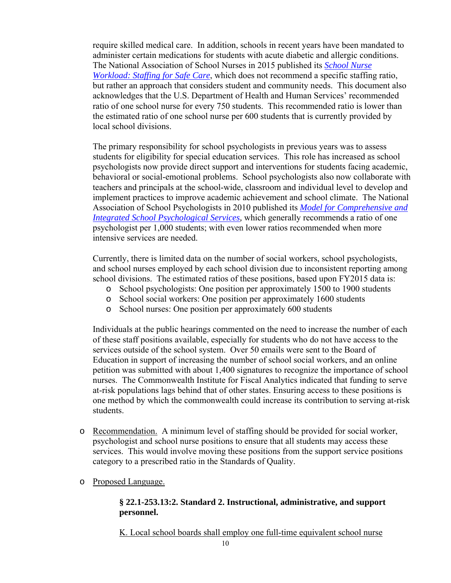require skilled medical care. In addition, schools in recent years have been mandated to administer certain medications for students with acute diabetic and allergic conditions. The National Association of School Nurses in 2015 published its *School Nurse Workload: Staffing for Safe Care*, which does not recommend a specific staffing ratio, but rather an approach that considers student and community needs.This document also acknowledges that the U.S. Department of Health and Human Services' recommended ratio of one school nurse for every 750 students. This recommended ratio is lower than the estimated ratio of one school nurse per 600 students that is currently provided by local school divisions.

The primary responsibility for school psychologists in previous years was to assess students for eligibility for special education services. This role has increased as school psychologists now provide direct support and interventions for students facing academic, behavioral or social-emotional problems. School psychologists also now collaborate with teachers and principals at the school-wide, classroom and individual level to develop and implement practices to improve academic achievement and school climate. The National Association of School Psychologists in 2010 published its *Model for Comprehensive and Integrated School Psychological Services,* which generally recommends a ratio of one psychologist per 1,000 students; with even lower ratios recommended when more intensive services are needed.

Currently, there is limited data on the number of social workers, school psychologists, and school nurses employed by each school division due to inconsistent reporting among school divisions. The estimated ratios of these positions, based upon FY2015 data is:

- o School psychologists: One position per approximately 1500 to 1900 students
- o School social workers: One position per approximately 1600 students
- o School nurses: One position per approximately 600 students

Individuals at the public hearings commented on the need to increase the number of each of these staff positions available, especially for students who do not have access to the services outside of the school system. Over 50 emails were sent to the Board of Education in support of increasing the number of school social workers, and an online petition was submitted with about 1,400 signatures to recognize the importance of school nurses. The Commonwealth Institute for Fiscal Analytics indicated that funding to serve at-risk populations lags behind that of other states. Ensuring access to these positions is one method by which the commonwealth could increase its contribution to serving at-risk students.

- o Recommendation. A minimum level of staffing should be provided for social worker, psychologist and school nurse positions to ensure that all students may access these services. This would involve moving these positions from the support service positions category to a prescribed ratio in the Standards of Quality.
- o Proposed Language.

#### **§ 22.1-253.13:2. Standard 2. Instructional, administrative, and support personnel.**

K. Local school boards shall employ one full-time equivalent school nurse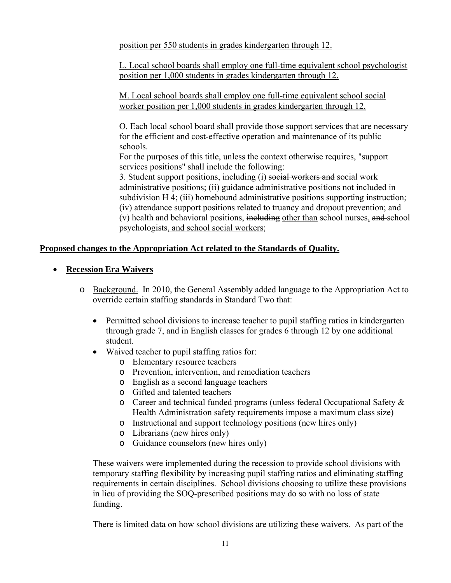position per 550 students in grades kindergarten through 12.

L. Local school boards shall employ one full-time equivalent school psychologist position per 1,000 students in grades kindergarten through 12.

M. Local school boards shall employ one full-time equivalent school social worker position per 1,000 students in grades kindergarten through 12.

O. Each local school board shall provide those support services that are necessary for the efficient and cost-effective operation and maintenance of its public schools.

For the purposes of this title, unless the context otherwise requires, "support services positions" shall include the following:

3. Student support positions, including (i) social workers and social work administrative positions; (ii) guidance administrative positions not included in subdivision H 4; (iii) homebound administrative positions supporting instruction; (iv) attendance support positions related to truancy and dropout prevention; and (v) health and behavioral positions, including other than school nurses, and school psychologists, and school social workers;

#### **Proposed changes to the Appropriation Act related to the Standards of Quality.**

#### **Recession Era Waivers**

- o Background. In 2010, the General Assembly added language to the Appropriation Act to override certain staffing standards in Standard Two that:
	- Permitted school divisions to increase teacher to pupil staffing ratios in kindergarten through grade 7, and in English classes for grades 6 through 12 by one additional student.
	- Waived teacher to pupil staffing ratios for:
		- o Elementary resource teachers
		- o Prevention, intervention, and remediation teachers
		- o English as a second language teachers
		- o Gifted and talented teachers
		- o Career and technical funded programs (unless federal Occupational Safety & Health Administration safety requirements impose a maximum class size)
		- o Instructional and support technology positions (new hires only)
		- o Librarians (new hires only)
		- o Guidance counselors (new hires only)

These waivers were implemented during the recession to provide school divisions with temporary staffing flexibility by increasing pupil staffing ratios and eliminating staffing requirements in certain disciplines. School divisions choosing to utilize these provisions in lieu of providing the SOQ-prescribed positions may do so with no loss of state funding.

There is limited data on how school divisions are utilizing these waivers. As part of the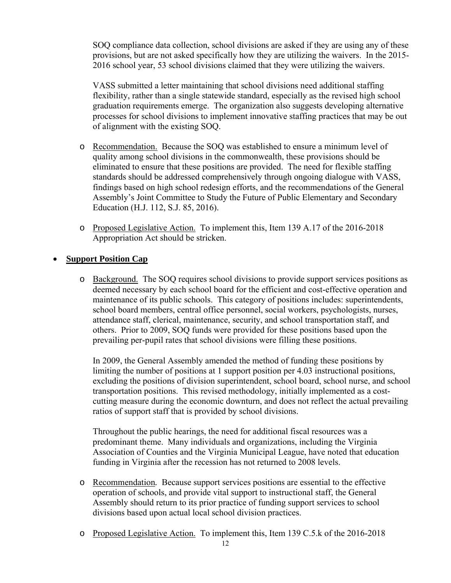SOQ compliance data collection, school divisions are asked if they are using any of these provisions, but are not asked specifically how they are utilizing the waivers. In the 2015- 2016 school year, 53 school divisions claimed that they were utilizing the waivers.

VASS submitted a letter maintaining that school divisions need additional staffing flexibility, rather than a single statewide standard, especially as the revised high school graduation requirements emerge. The organization also suggests developing alternative processes for school divisions to implement innovative staffing practices that may be out of alignment with the existing SOQ.

- o Recommendation. Because the SOQ was established to ensure a minimum level of quality among school divisions in the commonwealth, these provisions should be eliminated to ensure that these positions are provided. The need for flexible staffing standards should be addressed comprehensively through ongoing dialogue with VASS, findings based on high school redesign efforts, and the recommendations of the General Assembly's Joint Committee to Study the Future of Public Elementary and Secondary Education (H.J. 112, S.J. 85, 2016).
- o Proposed Legislative Action. To implement this, Item 139 A.17 of the 2016-2018 Appropriation Act should be stricken.

#### **Support Position Cap**

o Background. The SOQ requires school divisions to provide support services positions as deemed necessary by each school board for the efficient and cost-effective operation and maintenance of its public schools. This category of positions includes: superintendents, school board members, central office personnel, social workers, psychologists, nurses, attendance staff, clerical, maintenance, security, and school transportation staff, and others. Prior to 2009, SOQ funds were provided for these positions based upon the prevailing per-pupil rates that school divisions were filling these positions.

In 2009, the General Assembly amended the method of funding these positions by limiting the number of positions at 1 support position per 4.03 instructional positions, excluding the positions of division superintendent, school board, school nurse, and school transportation positions. This revised methodology, initially implemented as a costcutting measure during the economic downturn, and does not reflect the actual prevailing ratios of support staff that is provided by school divisions.

Throughout the public hearings, the need for additional fiscal resources was a predominant theme. Many individuals and organizations, including the Virginia Association of Counties and the Virginia Municipal League, have noted that education funding in Virginia after the recession has not returned to 2008 levels.

- o Recommendation*.* Because support services positions are essential to the effective operation of schools, and provide vital support to instructional staff, the General Assembly should return to its prior practice of funding support services to school divisions based upon actual local school division practices.
- o Proposed Legislative Action. To implement this, Item 139 C.5.k of the 2016-2018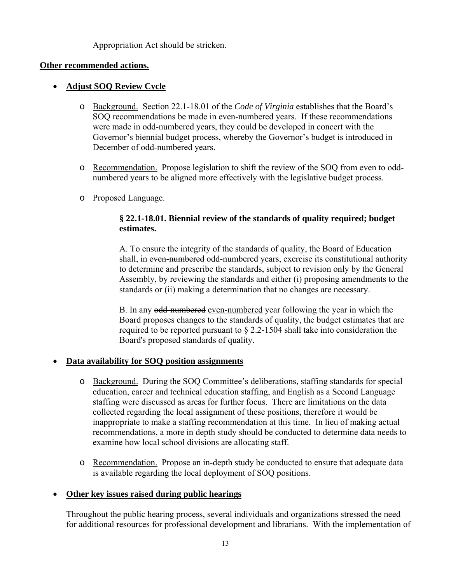#### Appropriation Act should be stricken.

#### **Other recommended actions.**

#### **Adjust SOQ Review Cycle**

- o Background. Section 22.1-18.01 of the *Code of Virginia* establishes that the Board's SOQ recommendations be made in even-numbered years. If these recommendations were made in odd-numbered years, they could be developed in concert with the Governor's biennial budget process, whereby the Governor's budget is introduced in December of odd-numbered years.
- o Recommendation. Propose legislation to shift the review of the SOQ from even to oddnumbered years to be aligned more effectively with the legislative budget process.
- o Proposed Language.

#### **§ 22.1-18.01. Biennial review of the standards of quality required; budget estimates.**

A. To ensure the integrity of the standards of quality, the Board of Education shall, in even-numbered odd-numbered years, exercise its constitutional authority to determine and prescribe the standards, subject to revision only by the General Assembly, by reviewing the standards and either (i) proposing amendments to the standards or (ii) making a determination that no changes are necessary.

B. In any odd-numbered even-numbered year following the year in which the Board proposes changes to the standards of quality, the budget estimates that are required to be reported pursuant to § 2.2-1504 shall take into consideration the Board's proposed standards of quality.

#### **Data availability for SOQ position assignments**

- o Background. During the SOQ Committee's deliberations, staffing standards for special education, career and technical education staffing, and English as a Second Language staffing were discussed as areas for further focus. There are limitations on the data collected regarding the local assignment of these positions, therefore it would be inappropriate to make a staffing recommendation at this time. In lieu of making actual recommendations, a more in depth study should be conducted to determine data needs to examine how local school divisions are allocating staff.
- o Recommendation. Propose an in-depth study be conducted to ensure that adequate data is available regarding the local deployment of SOQ positions.

#### **Other key issues raised during public hearings**

Throughout the public hearing process, several individuals and organizations stressed the need for additional resources for professional development and librarians. With the implementation of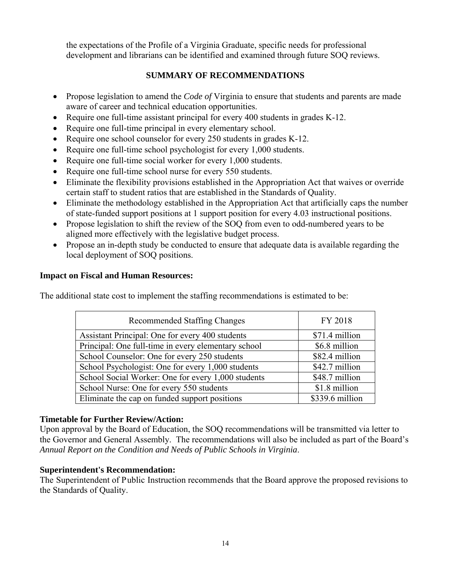the expectations of the Profile of a Virginia Graduate, specific needs for professional development and librarians can be identified and examined through future SOQ reviews.

#### **SUMMARY OF RECOMMENDATIONS**

- Propose legislation to amend the *Code of* Virginia to ensure that students and parents are made aware of career and technical education opportunities.
- Require one full-time assistant principal for every 400 students in grades K-12.
- Require one full-time principal in every elementary school.
- Require one school counselor for every 250 students in grades K-12.
- Require one full-time school psychologist for every 1,000 students.
- Require one full-time social worker for every 1,000 students.
- Require one full-time school nurse for every 550 students.
- Eliminate the flexibility provisions established in the Appropriation Act that waives or override certain staff to student ratios that are established in the Standards of Quality.
- Eliminate the methodology established in the Appropriation Act that artificially caps the number of state-funded support positions at 1 support position for every 4.03 instructional positions.
- Propose legislation to shift the review of the SOQ from even to odd-numbered years to be aligned more effectively with the legislative budget process.
- Propose an in-depth study be conducted to ensure that adequate data is available regarding the local deployment of SOQ positions.

#### **Impact on Fiscal and Human Resources:**

The additional state cost to implement the staffing recommendations is estimated to be:

| <b>Recommended Staffing Changes</b>                 | FY 2018         |
|-----------------------------------------------------|-----------------|
| Assistant Principal: One for every 400 students     | \$71.4 million  |
| Principal: One full-time in every elementary school | \$6.8 million   |
| School Counselor: One for every 250 students        | \$82.4 million  |
| School Psychologist: One for every 1,000 students   | \$42.7 million  |
| School Social Worker: One for every 1,000 students  | \$48.7 million  |
| School Nurse: One for every 550 students            | \$1.8 million   |
| Eliminate the cap on funded support positions       | \$339.6 million |

#### **Timetable for Further Review/Action:**

Upon approval by the Board of Education, the SOQ recommendations will be transmitted via letter to the Governor and General Assembly. The recommendations will also be included as part of the Board's *Annual Report on the Condition and Needs of Public Schools in Virginia*.

#### **Superintendent's Recommendation:**

The Superintendent of Public Instruction recommends that the Board approve the proposed revisions to the Standards of Quality.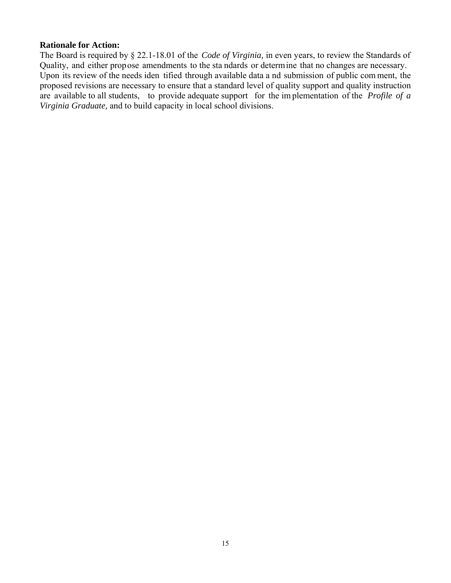#### **Rationale for Action:**

The Board is required by § 22.1-18.01 of the *Code of Virginia,* in even years, to review the Standards of Quality, and either propose amendments to the sta ndards or determine that no changes are necessary. Upon its review of the needs iden tified through available data a nd submission of public com ment, the proposed revisions are necessary to ensure that a standard level of quality support and quality instruction are available to all students, to provide adequate support for the im plementation of the *Profile of a Virginia Graduate,* and to build capacity in local school divisions.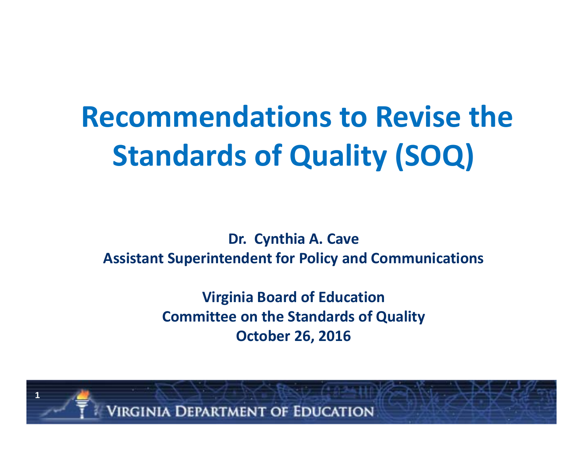# **Recommendations to Revise the Standards of Quality (SOQ)**

**Dr. Cynthia A. Cave Assistant Superintendent for Policy and Communications**

> **Virginia Board of Education Committee on the Standards of Quality October 26, 2016**

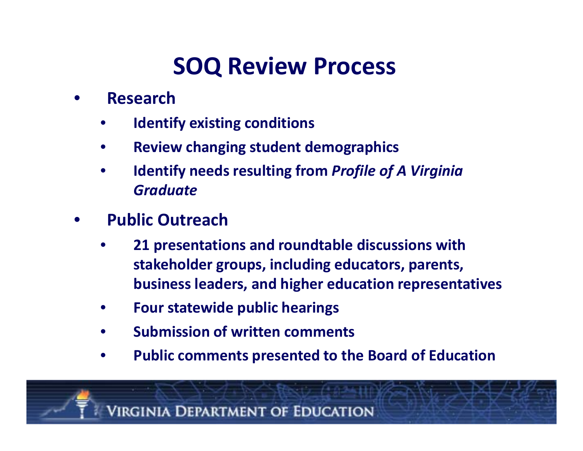### **SOQ Review Process**

- • **Research**
	- •**Identify existing conditions**
	- •**Review changing student demographics**
	- • **Identify needs resulting from** *Profile of A Virginia Graduate*
- • **Public Outreach**
	- • **21 presentations and roundtable discussions with stakeholder groups, including educators, parents, business leaders, and higher education representatives**
	- •**Four statewide public hearings**
	- •**Submission of written comments**
	- •**Public comments presented to the Board of Education**

**VIRGINIA DEPARTMENT OF EDUCATION**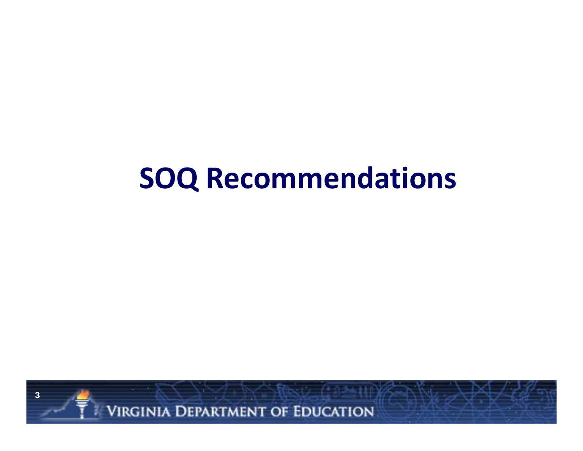## **SOQ Recommendations**



**VIRGINIA DEPARTMENT OF EDUCATION**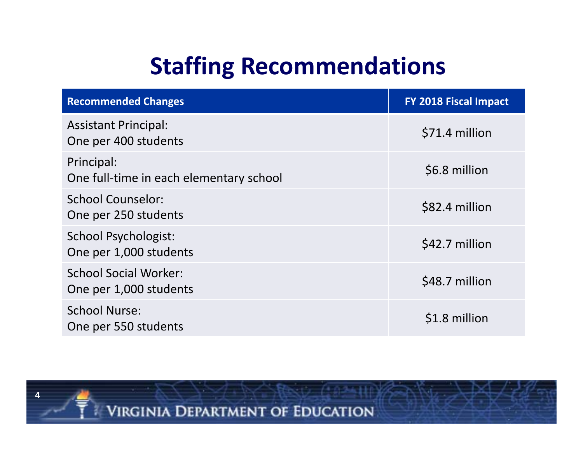### **Staffing Recommendations**

| <b>Recommended Changes</b>                             | <b>FY 2018 Fiscal Impact</b> |
|--------------------------------------------------------|------------------------------|
| <b>Assistant Principal:</b><br>One per 400 students    | \$71.4 million               |
| Principal:<br>One full-time in each elementary school  | \$6.8 million                |
| <b>School Counselor:</b><br>One per 250 students       | \$82.4 million               |
| <b>School Psychologist:</b><br>One per 1,000 students  | \$42.7 million               |
| <b>School Social Worker:</b><br>One per 1,000 students | \$48.7 million               |
| <b>School Nurse:</b><br>One per 550 students           | \$1.8 million                |



**VIRGINIA DEPARTMENT OF EDUCATION**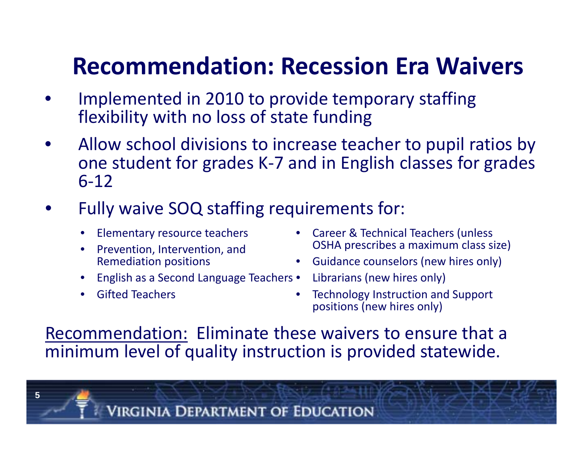### **Recommendation: Recession Era Waivers**

- • Implemented in 2010 to provide temporary staffing flexibility with no loss of state funding
- • Allow school divisions to increase teacher to pupil ratios by one student for grades K‐7 and in English classes for grades 6‐12
- • Fully waive SOQ staffing requirements for:
	- $\bullet$ Elementary resource teachers
	- • Prevention, Intervention, and Remediation positions
	- •• English as a Second Language Teachers • Librarians (new hires only)
	- $\bullet$ **•** Gifted Teachers

**5**

- Career & Technical Teachers (unless OSHA prescribes <sup>a</sup> maximum class size)
- Guidance counselors (new hires only)
- 
- • Technology Instruction and Support positions (new hires only)

Recommendation: Eliminate these waivers to ensure that <sup>a</sup> minimum level of quality instruction is provided statewide.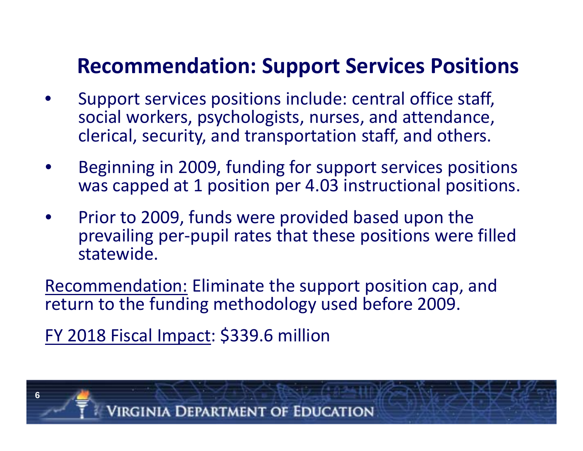### **Recommendation: Support Services Positions**

- • Support services positions include: central office staff, social workers, psychologists, nurses, and attendance, clerical, security, and transportation staff, and others.
- • Beginning in 2009, funding for support services positions was capped at 1 position per 4.03 instructional positions.
- •• Prior to 2009, funds were provided based upon the prevailing per‐pupil rates that these positions were filled statewide.

Recommendation: Eliminate the support position cap, and return to the funding methodology used before 2009.

FY 2018 Fiscal Impact: \$339.6 million